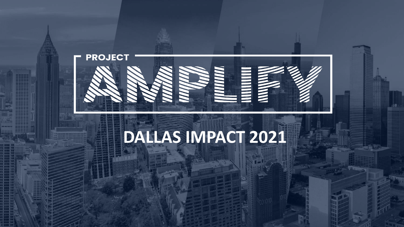

# **DALLAS IMPACT 2021**

Copyright Copyright Copyright Copyright Copyright Copyright Copyright Copyright Copyright Copyright Copyright Copyright Copyright Copyright Copyright Copyright Copyright Copyright Copyright Copyright Copyright Copyright Co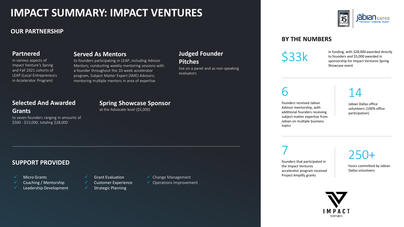### **IMPACT SUMMARY: IMPACT VENTURES**

### **OUR PARTNERSHIP**

#### **Partnered**

in various aspects of Impact Venture's Spring and Fall 2021 cohorts of LEAP (Local Entrepreneurs in Accelerator Program)

#### **Served As Mentors**

to founders participating in LEAP, including Advisor Mentors; conducting weekly mentoring sessions with a founder throughout the 10-week accelerator program, Subject Matter Expert (SME) Advisors; mentoring multiple mentors in area of expertise

### **Judged Founder**

#### **Pitches**

live on a panel and as non-speaking evaluators

### **Selected And Awarded Grants**

to seven founders ranging in amounts of \$500 - \$15,000, totaling \$28,000

**Spring Showcase Sponsor**

at the Advocate level (\$5,000)

### **SUPPORT PROVIDED**

- **Micro Grants**
- Coaching / Mentorship
- Leadership Development
- Grant Evaluation
	- ✓ Customer Experience
	- Strategic Planning
- ✓ Change Management
- $\checkmark$  Operations Improvement

### **BY THE NUMBERS**

 $$33k$  in funding, with \$28,000 awarded directly<br>to founders and \$5,000 awarded in<br>sponsorship for Impact Ventures Spring to founders and \$5,000 awarded in sponsorship for Impact Ventures Spring Showcase event

6

founders received Jabian Advisor mentorship, with additional founders receiving subject matter expertise from Jabian on multiple business topics

### 14

Jabian Dallas office volunteers (100% office participation)

7

founders that participated in the Impact Ventures accelerator program received Project Amplify grants

### 250+

hours committed by Jabian Dallas volunteers

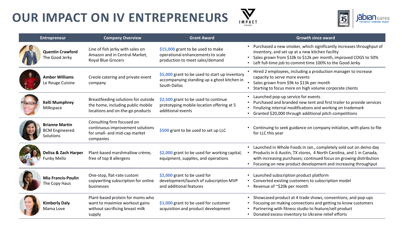



| <b>Entrepreneur</b>                                         | <b>Company Overview</b>                                                                                         | <b>Grant Award</b>                                                                                            | <b>Growth since award</b>                                                                                                                                                                                                                                                          |
|-------------------------------------------------------------|-----------------------------------------------------------------------------------------------------------------|---------------------------------------------------------------------------------------------------------------|------------------------------------------------------------------------------------------------------------------------------------------------------------------------------------------------------------------------------------------------------------------------------------|
| <b>Quentin Crawford</b><br>The Good Jerky                   | Line of fish jerky with sales on<br>Amazon and in Central Market,<br><b>Royal Blue Grocers</b>                  | \$15,000 grant to be used to make<br>operational enhancements to scale<br>production to meet sales/demand     | • Purchased a new smoker, which significantly increases throughput of<br>inventory, and set up at a new kitchen facility<br>Sales grown from \$10k to \$12k per month, improved COGS to 50%<br>Left full-time job to commit time 100% to the Good Jerky                            |
| <b>Amber Williams</b><br>Le Rouge Cuisine                   | Creole catering and private event<br>company                                                                    | \$5,000 grant to be used to start up inventory<br>accompanying standing up a ghost kitchen in<br>South Dallas | • Hired 2 employees, including a production manager to increase<br>capacity to serve more events<br>Sales grown from \$9k to \$13k per month<br>Starting to focus more on high volume corporate clients                                                                            |
| <b>Kelli Mumphrey</b><br>Milkspace                          | Breastfeeding solutions for outside<br>the home, including public mobile<br>locations and on-the-go products    | \$2,500 grant to be used to continue<br>prototyping mobile location offering at 5<br>additional events        | • Launched pop-up service for events<br>Purchased and branded new tent and first trailer to provide services<br>Finalizing internal modifications and working on trademark<br>Granted \$20,000 through additional pitch competitions                                               |
| <b>Brianne Martin</b><br><b>BCM Engineered</b><br>Solutions | Consulting firm focused on<br>continuous improvement solutions<br>for small- and mid-cap market<br>companies    | \$500 grant to be used to set up LLC                                                                          | Continuing to seek guidance on company initiation, with plans to file<br>for LLC this year                                                                                                                                                                                         |
| Delisa & Zach Harper<br>Funky Mello                         | Plant-based marshmallow crème,<br>free of top 8 allergens                                                       | \$2,000 grant to be used for working capital,<br>equipment, supplies, and operations                          | • Launched in Whole Foods in Jan., completely sold out on demo day<br>Products in 6 Austin, TX stores, 4 North Carolina, and 1 in Canada,<br>with increasing purchases; continued focus on growing distribution<br>• Focusing on new product development and increasing throughput |
| <b>Mia Francis-Poulin</b><br>The Copy Haus                  | One-stop, flat-rate custom<br>copywriting subscription for online<br>businesses                                 | \$2,000 grant to be used for<br>development/launch of subscription MVP<br>and additional features             | • Launched subscription product platform<br>Converted existing customers to subscription model<br>• Revenue of ~\$20k per month                                                                                                                                                    |
| <b>Kimberly Daly</b><br>Mama Love                           | Plant-based protein for moms who<br>want to maximize workout gains<br>without sacrificing breast milk<br>supply | \$1,000 grant to be used for customer<br>acquisition and product development                                  | • Showcased product at 4 trade shows, conventions, and pop-ups<br>Focusing on making connections and getting to know customers<br>Partnering with fitness studio to feature/sell product<br>Donated excess inventory to Ukraine relief efforts                                     |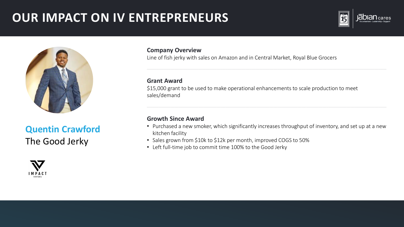



### **Quentin Crawford** The Good Jerky



#### **Company Overview**

Line of fish jerky with sales on Amazon and in Central Market, Royal Blue Grocers

#### **Grant Award**

\$15,000 grant to be used to make operational enhancements to scale production to meet sales/demand

- Purchased a new smoker, which significantly increases throughput of inventory, and set up at a new kitchen facility
- Sales grown from \$10k to \$12k per month, improved COGS to 50%
- Left full-time job to commit time 100% to the Good Jerky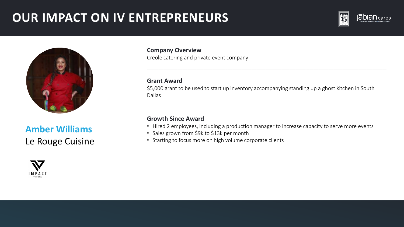



**Amber Williams** Le Rouge Cuisine



**Company Overview** Creole catering and private event company

### **Grant Award**

\$5,000 grant to be used to start up inventory accompanying standing up a ghost kitchen in South Dallas

- Hired 2 employees, including a production manager to increase capacity to serve more events
- Sales grown from \$9k to \$13k per month
- Starting to focus more on high volume corporate clients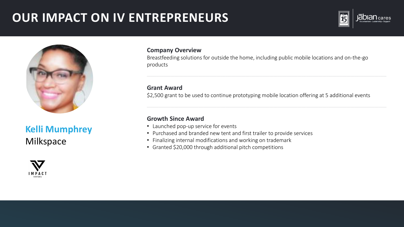

### **Kelli Mumphrey** Milkspace



#### **Company Overview**

Breastfeeding solutions for outside the home, including public mobile locations and on-the-go products

### **Grant Award**

\$2,500 grant to be used to continue prototyping mobile location offering at 5 additional events

- Launched pop-up service for events
- Purchased and branded new tent and first trailer to provide services
- Finalizing internal modifications and working on trademark
- Granted \$20,000 through additional pitch competitions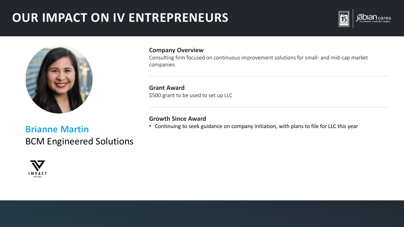

### **Brianne Martin BCM Engineered Solutions**



#### **Company Overview**

Consulting firm focused on continuous improvement solutions for small- and mid-cap market companies

**Grant Award** \$500 grant to be used to set up LLC

### **Growth Since Award**

• Continuing to seek guidance on company initiation, with plans to file for LLC this year

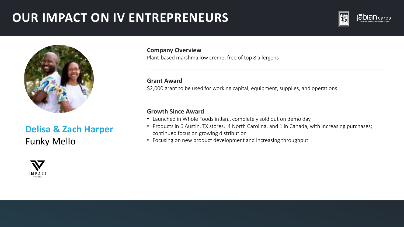

### **Delisa & Zach Harper** Funky Mello



**Company Overview** Plant-based marshmallow crème, free of top 8 allergens

#### **Grant Award**

\$2,000 grant to be used for working capital, equipment, supplies, and operations

- Launched in Whole Foods in Jan., completely sold out on demo day
- Products in 6 Austin, TX stores, 4 North Carolina, and 1 in Canada, with increasing purchases; continued focus on growing distribution
- Focusing on new product development and increasing throughput

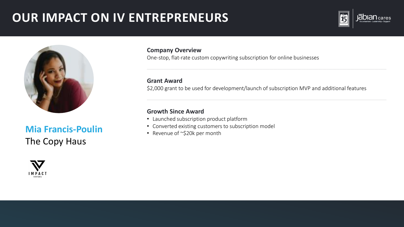

### **Mia Francis-Poulin** • Converted existing customers to subscription model • Revenue of ~\$20k per month The Copy Haus

**Company Overview**

One-stop, flat-rate custom copywriting subscription for online businesses

#### **Grant Award**

\$2,000 grant to be used for development/launch of subscription MVP and additional features

- Launched subscription product platform
- 
-